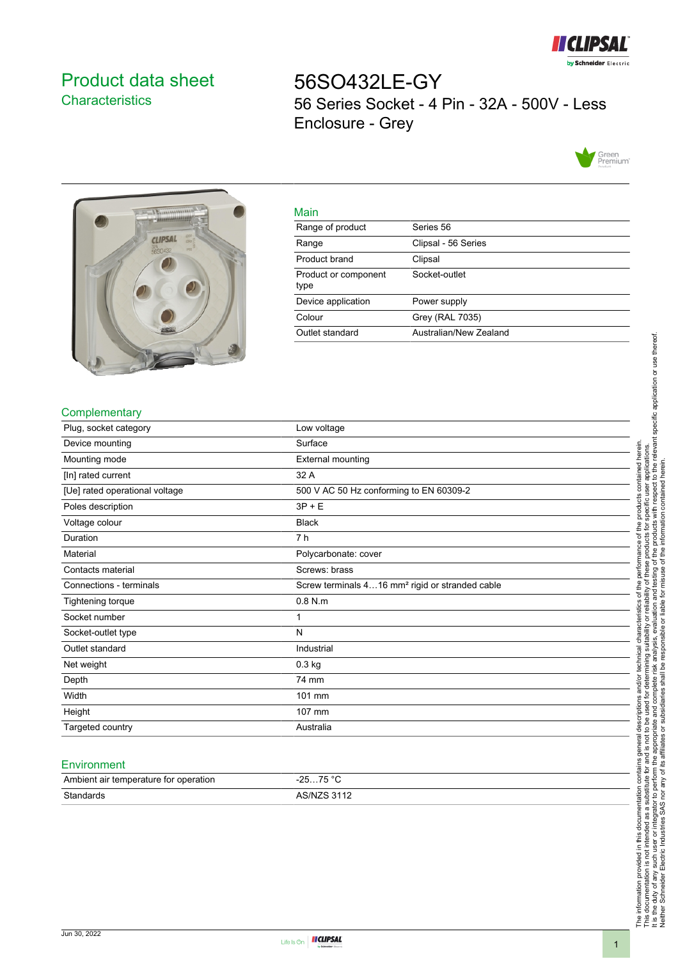

# <span id="page-0-0"></span>Product data sheet **Characteristics**

56SO432LE-GY 56 Series Socket - 4 Pin - 32A - 500V - Less Enclosure - Grey





| main                         |                        |
|------------------------------|------------------------|
| Range of product             | Series 56              |
| Range                        | Clipsal - 56 Series    |
| Product brand                | Clipsal                |
| Product or component<br>type | Socket-outlet          |
| Device application           | Power supply           |
| Colour                       | Grey (RAL 7035)        |
| Outlet standard              | Australian/New Zealand |

### **Complementary**

| Plug, socket category          | Low voltage                                                 |
|--------------------------------|-------------------------------------------------------------|
| Device mounting                | Surface                                                     |
| Mounting mode                  | <b>External mounting</b>                                    |
| [In] rated current             | 32 A                                                        |
| [Ue] rated operational voltage | 500 V AC 50 Hz conforming to EN 60309-2                     |
| Poles description              | $3P + E$                                                    |
| Voltage colour                 | <b>Black</b>                                                |
| Duration                       | 7 h                                                         |
| Material                       | Polycarbonate: cover                                        |
| Contacts material              | Screws: brass                                               |
| Connections - terminals        | Screw terminals 416 mm <sup>2</sup> rigid or stranded cable |
| Tightening torque              | $0.8$ N.m                                                   |
| Socket number                  | 1                                                           |
| Socket-outlet type             | N                                                           |
| Outlet standard                | Industrial                                                  |
| Net weight                     | $0.3$ kg                                                    |
| Depth                          | 74 mm                                                       |
| Width                          | 101 mm                                                      |
| Height                         | 107 mm                                                      |
| Targeted country               | Australia                                                   |

Main

#### **Environment**

| Ambient air temperature for operation | 75 °C<br>ว⊏<br>. <b>. ب</b><br><b>20</b> |
|---------------------------------------|------------------------------------------|
| Standards                             | <b>ARINIZR 3112</b>                      |